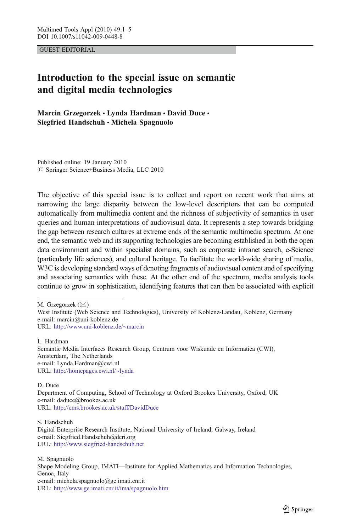GUEST EDITORIAL

## Introduction to the special issue on semantic and digital media technologies

Marcin Grzegorzek • Lynda Hardman • David Duce • Siegfried Handschuh · Michela Spagnuolo

Published online: 19 January 2010  $\oslash$  Springer Science+Business Media, LLC 2010

The objective of this special issue is to collect and report on recent work that aims at narrowing the large disparity between the low-level descriptors that can be computed automatically from multimedia content and the richness of subjectivity of semantics in user queries and human interpretations of audiovisual data. It represents a step towards bridging the gap between research cultures at extreme ends of the semantic multimedia spectrum. At one end, the semantic web and its supporting technologies are becoming established in both the open data environment and within specialist domains, such as corporate intranet search, e-Science (particularly life sciences), and cultural heritage. To facilitate the world-wide sharing of media, W<sub>3</sub>C is developing standard ways of denoting fragments of audiovisual content and of specifying and associating semantics with these. At the other end of the spectrum, media analysis tools continue to grow in sophistication, identifying features that can then be associated with explicit

M. Grzegorzek  $(\boxtimes)$ 

West Institute (Web Science and Technologies), University of Koblenz-Landau, Koblenz, Germany e-mail: marcin@uni-koblenz.de URL: http://www.uni-koblenz.de/∼marcin

L. Hardman Semantic Media Interfaces Research Group, Centrum voor Wiskunde en Informatica (CWI), Amsterdam, The Netherlands e-mail: Lynda.Hardman@cwi.nl URL: http://homepages.cwi.nl/∼lynda

D. Duce Department of Computing, School of Technology at Oxford Brookes University, Oxford, UK e-mail: daduce@brookes.ac.uk URL: http://cms.brookes.ac.uk/staff/DavidDuce

S. Handschuh Digital Enterprise Research Institute, National University of Ireland, Galway, Ireland e-mail: Siegfried.Handschuh@deri.org URL: http://www.siegfried-handschuh.net

M. Spagnuolo Shape Modeling Group, IMATI—Institute for Applied Mathematics and Information Technologies, Genoa, Italy e-mail: michela.spagnuolo@ge.imati.cnr.it URL: http://www.ge.imati.cnr.it/ima/spagnuolo.htm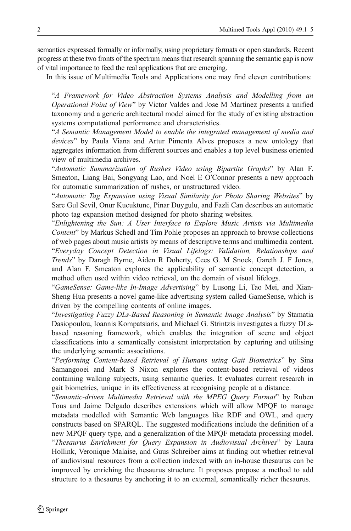semantics expressed formally or informally, using proprietary formats or open standards. Recent progress at these two fronts of the spectrum meansthat research spanning the semantic gap is now of vital importance to feed the real applications that are emerging.

In this issue of Multimedia Tools and Applications one may find eleven contributions:

"A Framework for Video Abstraction Systems Analysis and Modelling from an Operational Point of View" by Victor Valdes and Jose M Martinez presents a unified taxonomy and a generic architectural model aimed for the study of existing abstraction systems computational performance and characteristics.

"A Semantic Management Model to enable the integrated management of media and devices" by Paula Viana and Artur Pimenta Alves proposes a new ontology that aggregates information from different sources and enables a top level business oriented view of multimedia archives.

"Automatic Summarization of Rushes Video using Bipartite Graphs" by Alan F. Smeaton, Liang Bai, Songyang Lao, and Noel E O′Connor presents a new approach for automatic summarization of rushes, or unstructured video.

"Automatic Tag Expansion using Visual Similarity for Photo Sharing Websites" by Sare Gul Sevil, Onur Kucuktunc, Pinar Duygulu, and Fazli Can describes an automatic photo tag expansion method designed for photo sharing websites.

"Enlightening the Sun: A User Interface to Explore Music Artists via Multimedia Content" by Markus Schedl and Tim Pohle proposes an approach to browse collections of web pages about music artists by means of descriptive terms and multimedia content. "Everyday Concept Detection in Visual Lifelogs: Validation, Relationships and Trends" by Daragh Byrne, Aiden R Doherty, Cees G. M Snoek, Gareth J. F Jones, and Alan F. Smeaton explores the applicability of semantic concept detection, a method often used within video retrieval, on the domain of visual lifelogs.

"GameSense: Game-like In-Image Advertising" by Lusong Li, Tao Mei, and Xian-Sheng Hua presents a novel game-like advertising system called GameSense, which is driven by the compelling contents of online images.

"Investigating Fuzzy DLs-Based Reasoning in Semantic Image Analysis" by Stamatia Dasiopoulou, Ioannis Kompatsiaris, and Michael G. Strintzis investigates a fuzzy DLsbased reasoning framework, which enables the integration of scene and object classifications into a semantically consistent interpretation by capturing and utilising the underlying semantic associations.

"Performing Content-based Retrieval of Humans using Gait Biometrics" by Sina Samangooei and Mark S Nixon explores the content-based retrieval of videos containing walking subjects, using semantic queries. It evaluates current research in gait biometrics, unique in its effectiveness at recognising people at a distance.

"Semantic-driven Multimedia Retrieval with the MPEG Query Format" by Ruben Tous and Jaime Delgado describes extensions which will allow MPQF to manage metadata modelled with Semantic Web languages like RDF and OWL, and query constructs based on SPARQL. The suggested modifications include the definition of a new MPQF query type, and a generalization of the MPQF metadata processing model. "Thesaurus Enrichment for Query Expansion in Audiovisual Archives" by Laura Hollink, Veronique Malaise, and Guus Schreiber aims at finding out whether retrieval of audiovisual resources from a collection indexed with an in-house thesaurus can be improved by enriching the thesaurus structure. It proposes propose a method to add structure to a thesaurus by anchoring it to an external, semantically richer thesaurus.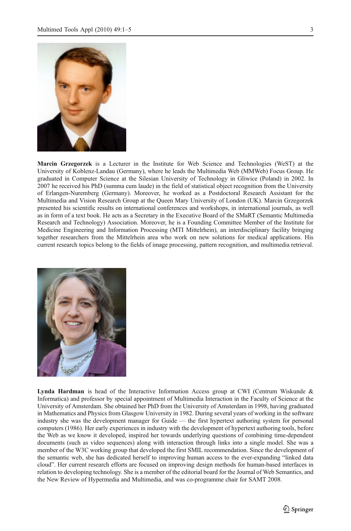

Marcin Grzegorzek is a Lecturer in the Institute for Web Science and Technologies (WeST) at the University of Koblenz-Landau (Germany), where he leads the Multimedia Web (MMWeb) Focus Group. He graduated in Computer Science at the Silesian University of Technology in Gliwice (Poland) in 2002. In 2007 he received his PhD (summa cum laude) in the field of statistical object recognition from the University of Erlangen-Nuremberg (Germany). Moreover, he worked as a Postdoctoral Research Assistant for the Multimedia and Vision Research Group at the Queen Mary University of London (UK). Marcin Grzegorzek presented his scientific results on international conferences and workshops, in international journals, as well as in form of a text book. He acts as a Secretary in the Executive Board of the SMaRT (Semantic Multimedia Research and Technology) Association. Moreover, he is a Founding Committee Member of the Institute for Medicine Engineering and Information Processing (MTI Mittelrhein), an interdisciplinary facility bringing together researchers from the Mittelrhein area who work on new solutions for medical applications. His current research topics belong to the fields of image processing, pattern recognition, and multimedia retrieval.



Lynda Hardman is head of the Interactive Information Access group at CWI (Centrum Wiskunde & Informatica) and professor by special appointment of Multimedia Interaction in the Faculty of Science at the University of Amsterdam. She obtained her PhD from the University of Amsterdam in 1998, having graduated in Mathematics and Physics from Glasgow University in 1982. During several years of working in the software industry she was the development manager for Guide — the first hypertext authoring system for personal computers (1986). Her early experiences in industry with the development of hypertext authoring tools, before the Web as we know it developed, inspired her towards underlying questions of combining time-dependent documents (such as video sequences) along with interaction through links into a single model. She was a member of the W3C working group that developed the first SMIL recommendation. Since the development of the semantic web, she has dedicated herself to improving human access to the ever-expanding "linked data cloud". Her current research efforts are focused on improving design methods for human-based interfaces in relation to developing technology. She is a member of the editorial board for the Journal of Web Semantics, and the New Review of Hypermedia and Multimedia, and was co-programme chair for SAMT 2008.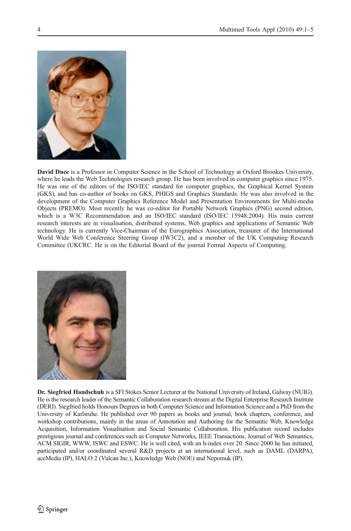

David Duce is a Professor in Computer Science in the School of Technology at Oxford Brookes University, where he leads the Web Technologies research group. He has been involved in computer graphics since 1975. He was one of the editors of the ISO/IEC standard for computer graphics, the Graphical Kernel System (GKS), and has co-author of books on GKS, PHIGS and Graphics Standards. He was also involved in the development of the Computer Graphics Reference Model and Presentation Environments for Multi-media Objects (PREMO). Most recently he was co-editor for Portable Network Graphics (PNG) second edition, which is a W3C Recommendation and an ISO/IEC standard (ISO/IEC 15948:2004). His main current research interests are in visualisation, distributed systems, Web graphics and applications of Semantic Web technology. He is currently Vice-Chairman of the Eurographics Association, treasurer of the International World Wide Web Conference Steering Group (IW3C2), and a member of the UK Computing Research Committee (UKCRC. He is on the Editorial Board of the journal Formal Aspects of Computing.



Dr. Siegfried Handschuh is a SFI Stokes Senior Lecturer at the National University of Ireland, Galway (NUIG). He is the research leader of the Semantic Collaboration research stream at the Digital Enterprise Research Institute (DERI). Siegfried holds Honours Degrees in both Computer Science and Information Science and a PhD from the University of Karlsruhe. He published over 90 papers as books and journal, book chapters, conference, and workshop contributions, mainly in the areas of Annotation and Authoring for the Semantic Web, Knowledge Acquisition, Information Visualisation and Social Semantic Collaboration. His publication record includes prestigious journal and conferences such as Computer Networks, IEEE Transactions, Journal of Web Semantics, ACM SIGIR, WWW, ISWC and ESWC. He is well cited, with an h-index over 20. Since 2000 he has initiated, participated and/or coordinated several R&D projects at an international level, such as DAML (DARPA), aceMedia (IP), HALO 2 (Vulcan Inc.), Knowledge Web (NOE) and Nepomuk (IP).